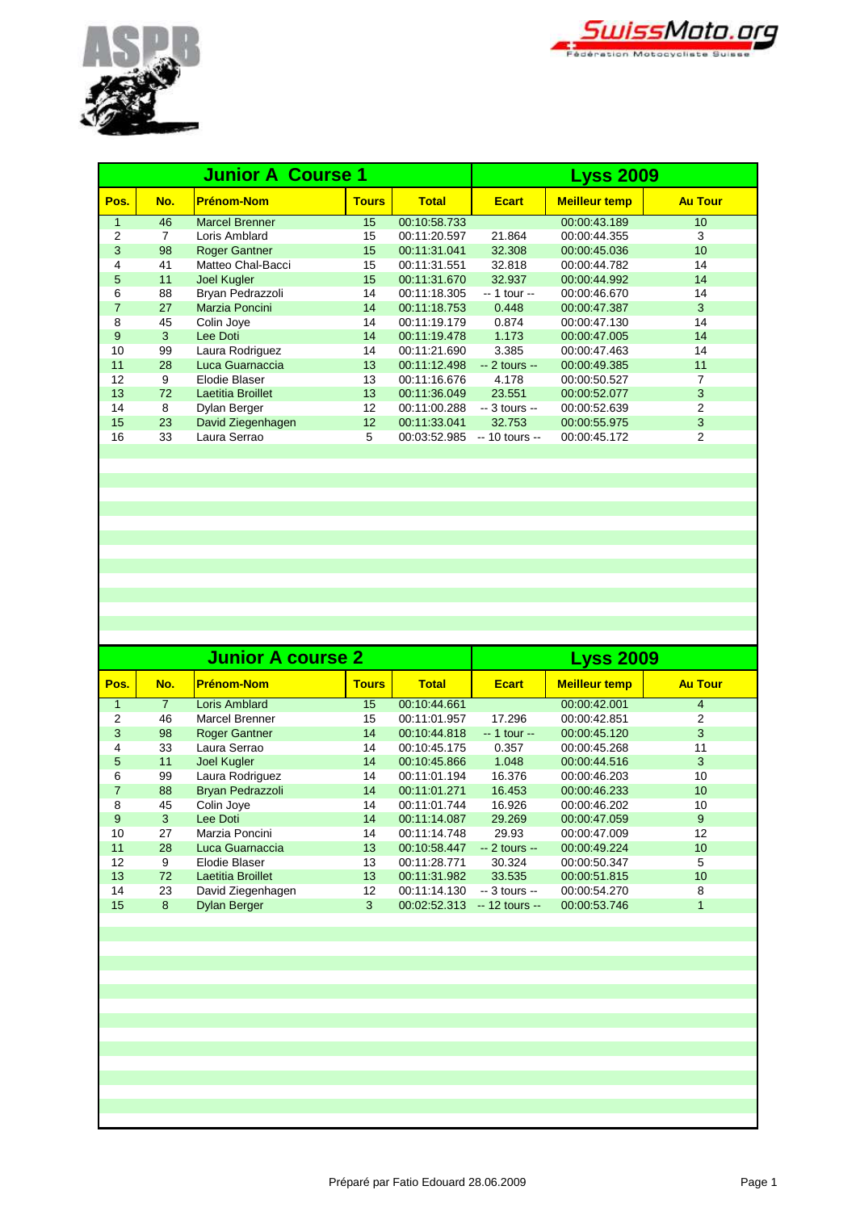



|              |     | <b>Junior A Course 1</b> | <b>Lyss 2009</b> |              |                 |                      |                |
|--------------|-----|--------------------------|------------------|--------------|-----------------|----------------------|----------------|
| Pos.         | No. | <b>Prénom-Nom</b>        | <b>Tours</b>     | <b>Total</b> | <b>Ecart</b>    | <b>Meilleur temp</b> | <b>Au Tour</b> |
| $\mathbf{1}$ | 46  | <b>Marcel Brenner</b>    | 15               | 00:10:58.733 |                 | 00:00:43.189         | 10             |
| 2            | 7   | Loris Amblard            | 15               | 00:11:20.597 | 21.864          | 00:00:44.355         | 3              |
| 3            | 98  | <b>Roger Gantner</b>     | 15               | 00:11:31.041 | 32.308          | 00:00:45.036         | 10             |
| 4            | 41  | Matteo Chal-Bacci        | 15               | 00:11:31.551 | 32.818          | 00:00:44.782         | 14             |
| 5            | 11  | <b>Joel Kugler</b>       | 15               | 00:11:31.670 | 32.937          | 00:00:44.992         | 14             |
| 6            | 88  | Bryan Pedrazzoli         | 14               | 00:11:18.305 | -- 1 tour --    | 00:00:46.670         | 14             |
| 7            | 27  | Marzia Poncini           | 14               | 00:11:18.753 | 0.448           | 00:00:47.387         | 3              |
| 8            | 45  | Colin Joye               | 14               | 00:11:19.179 | 0.874           | 00:00:47.130         | 14             |
| 9            | 3   | Lee Doti                 | 14               | 00:11:19.478 | 1.173           | 00:00:47.005         | 14             |
| 10           | 99  | Laura Rodriguez          | 14               | 00:11:21.690 | 3.385           | 00:00:47.463         | 14             |
| 11           | 28  | Luca Guarnaccia          | 13               | 00:11:12.498 | $-2$ tours $-$  | 00:00:49.385         | 11             |
| 12           | 9   | Elodie Blaser            | 13               | 00:11:16.676 | 4.178           | 00:00:50.527         | 7              |
| 13           | 72  | Laetitia Broillet        | 13               | 00:11:36.049 | 23.551          | 00:00:52.077         | 3              |
| 14           | 8   | Dylan Berger             | 12               | 00:11:00.288 | $-3$ tours $-$  | 00:00:52.639         | 2              |
| 15           | 23  | David Ziegenhagen        | 12               | 00:11:33.041 | 32.753          | 00:00:55.975         | 3              |
| 16           | 33  | Laura Serrao             | 5                | 00:03:52.985 | $-10$ tours $-$ | 00:00:45.172         | 2              |
|              |     |                          |                  |              |                 |                      |                |

|                |                | <b>Junior A course 2</b> | <b>Lyss 2009</b> |              |                 |                      |                |
|----------------|----------------|--------------------------|------------------|--------------|-----------------|----------------------|----------------|
| Pos.           | No.            | <b>Prénom-Nom</b>        | <b>Tours</b>     | <b>Total</b> | <b>Ecart</b>    | <b>Meilleur temp</b> | <b>Au Tour</b> |
|                | $\overline{7}$ | Loris Amblard            | 15               | 00:10:44.661 |                 | 00:00:42.001         | $\overline{4}$ |
| 2              | 46             | <b>Marcel Brenner</b>    | 15               | 00:11:01.957 | 17.296          | 00:00:42.851         | 2              |
| 3              | 98             | <b>Roger Gantner</b>     | 14               | 00:10:44.818 | $-1$ tour $-$   | 00:00:45.120         | 3              |
| 4              | 33             | Laura Serrao             | 14               | 00:10:45.175 | 0.357           | 00:00:45.268         | 11             |
| 5              | 11             | Joel Kugler              | 14               | 00:10:45.866 | 1.048           | 00:00:44.516         | 3              |
| 6              | 99             | Laura Rodriguez          | 14               | 00:11:01.194 | 16.376          | 00:00:46.203         | 10             |
| $\overline{7}$ | 88             | Bryan Pedrazzoli         | 14               | 00:11:01.271 | 16.453          | 00:00:46.233         | 10             |
| 8              | 45             | Colin Joye               | 14               | 00:11:01.744 | 16.926          | 00:00:46.202         | 10             |
| 9              | 3              | Lee Doti                 | 14               | 00:11:14.087 | 29.269          | 00:00:47.059         | 9              |
| 10             | 27             | Marzia Poncini           | 14               | 00:11:14.748 | 29.93           | 00:00:47.009         | 12             |
| 11             | 28             | Luca Guarnaccia          | 13               | 00:10:58.447 | $-2$ tours $-$  | 00:00:49.224         | 10             |
| 12             | 9              | Elodie Blaser            | 13               | 00:11:28.771 | 30.324          | 00:00:50.347         | 5              |
| 13             | 72             | Laetitia Broillet        | 13               | 00:11:31.982 | 33.535          | 00:00:51.815         | 10             |
| 14             | 23             | David Ziegenhagen        | 12               | 00:11:14.130 | $-3$ tours $-$  | 00:00:54.270         | 8              |
| 15             | 8              | <b>Dylan Berger</b>      | 3                | 00:02:52.313 | $-12$ tours $-$ | 00:00:53.746         | $\mathbf{1}$   |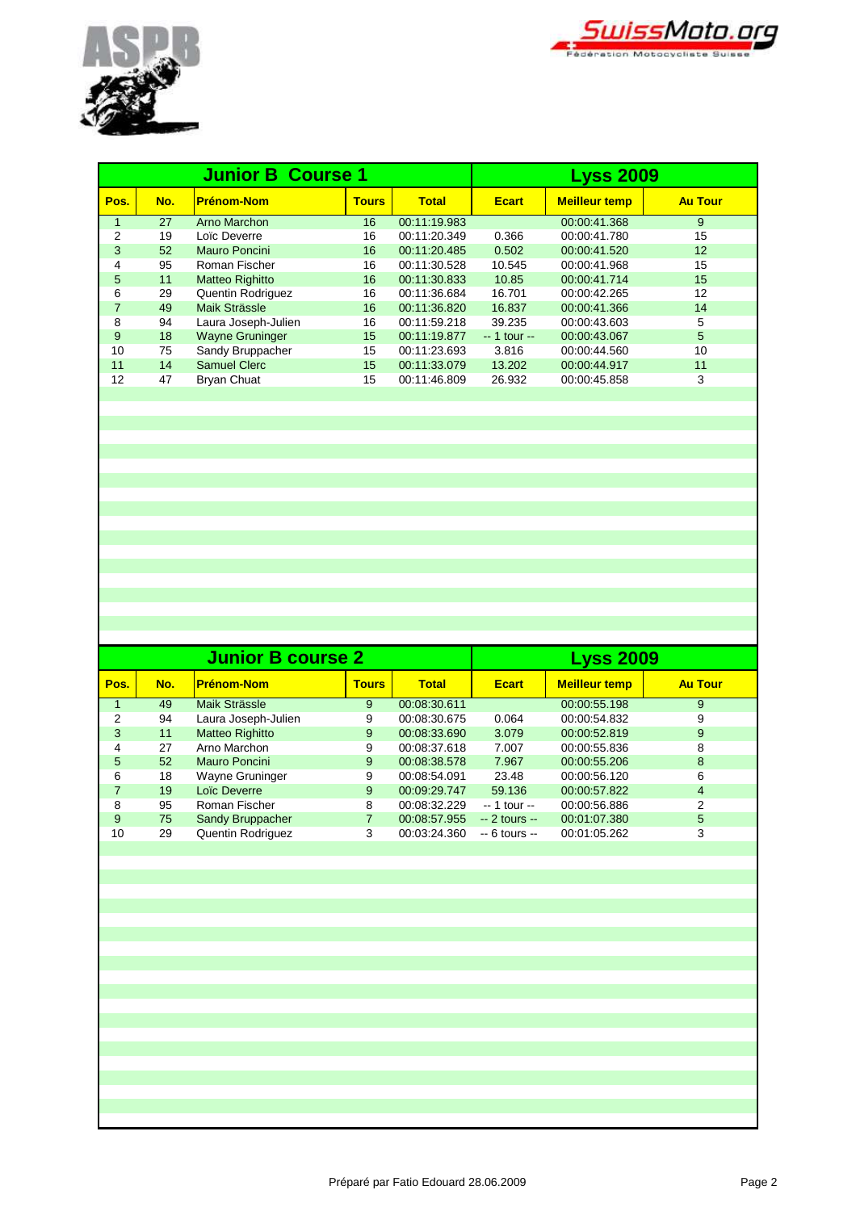



|      |     | <b>Junior B Course 1</b> | <b>Lyss 2009</b> |              |               |                      |                |
|------|-----|--------------------------|------------------|--------------|---------------|----------------------|----------------|
| Pos. | No. | <b>Prénom-Nom</b>        | <b>Tours</b>     | <b>Total</b> | <b>Ecart</b>  | <b>Meilleur temp</b> | <b>Au Tour</b> |
| 1    | 27  | Arno Marchon             | 16               | 00:11:19.983 |               | 00:00:41.368         | 9              |
| 2    | 19  | Loïc Deverre             | 16               | 00:11:20.349 | 0.366         | 00:00:41.780         | 15             |
| 3    | 52  | Mauro Poncini            | 16               | 00:11:20.485 | 0.502         | 00:00:41.520         | 12             |
| 4    | 95  | Roman Fischer            | 16               | 00:11:30.528 | 10.545        | 00:00:41.968         | 15             |
| 5    | 11  | <b>Matteo Righitto</b>   | 16               | 00:11:30.833 | 10.85         | 00:00:41.714         | 15             |
| 6    | 29  | Quentin Rodriguez        | 16               | 00:11:36.684 | 16.701        | 00:00:42.265         | 12             |
| 7    | 49  | Maik Strässle            | 16               | 00:11:36.820 | 16.837        | 00:00:41.366         | 14             |
| 8    | 94  | Laura Joseph-Julien      | 16               | 00:11:59.218 | 39.235        | 00:00:43.603         | 5              |
| 9    | 18  | <b>Wayne Gruninger</b>   | 15               | 00:11:19.877 | $-1$ tour $-$ | 00:00:43.067         | 5              |
| 10   | 75  | Sandy Bruppacher         | 15               | 00:11:23.693 | 3.816         | 00:00:44.560         | 10             |
| 11   | 14  | Samuel Clerc             | 15               | 00:11:33.079 | 13.202        | 00:00:44.917         | 11             |
| 12   | 47  | <b>Bryan Chuat</b>       | 15               | 00:11:46.809 | 26.932        | 00:00:45.858         | 3              |
|      |     |                          |                  |              |               |                      |                |

|      |     | <b>Junior B course 2</b> | <b>Lyss 2009</b> |              |                |                      |                |
|------|-----|--------------------------|------------------|--------------|----------------|----------------------|----------------|
| Pos. | No. | <b>Prénom-Nom</b>        | <b>Tours</b>     | <b>Total</b> | <b>Ecart</b>   | <b>Meilleur temp</b> | <b>Au Tour</b> |
|      | 49  | Maik Strässle            | 9                | 00:08:30.611 |                | 00:00:55.198         | 9              |
| 2    | 94  | Laura Joseph-Julien      | 9                | 00:08:30.675 | 0.064          | 00:00:54.832         | 9              |
| 3    | 11  | <b>Matteo Righitto</b>   | 9                | 00:08:33.690 | 3.079          | 00:00:52.819         | 9              |
| 4    | 27  | Arno Marchon             | 9                | 00:08:37.618 | 7.007          | 00:00:55.836         | 8              |
| 5    | 52  | Mauro Poncini            | 9                | 00:08:38.578 | 7.967          | 00:00:55.206         | 8              |
| 6    | 18  | Wayne Gruninger          | 9                | 00:08:54.091 | 23.48          | 00:00:56.120         | 6              |
|      | 19  | Loïc Deverre             | 9                | 00:09:29.747 | 59.136         | 00:00:57.822         | $\overline{4}$ |
| 8    | 95  | Roman Fischer            | 8                | 00:08:32.229 | $-1$ tour $-$  | 00:00:56.886         | 2              |
| 9    | 75  | Sandy Bruppacher         | 7                | 00:08:57.955 | $-2$ tours $-$ | 00:01:07.380         | 5              |
| 10   | 29  | Quentin Rodriguez        | 3                | 00:03:24.360 | $-6$ tours $-$ | 00:01:05.262         | 3              |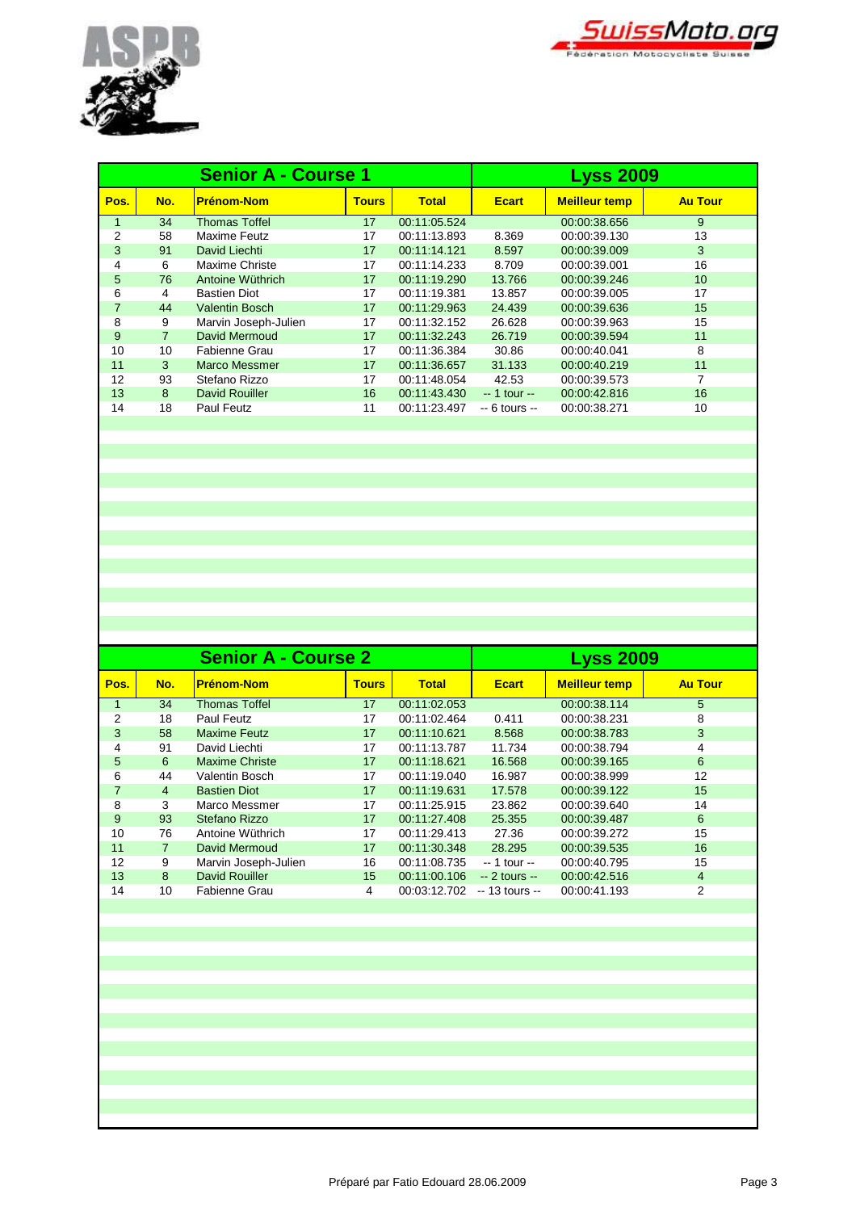



|      |                | <b>Senior A - Course 1</b> | <b>Lyss 2009</b> |              |                |                      |                 |
|------|----------------|----------------------------|------------------|--------------|----------------|----------------------|-----------------|
| Pos. | No.            | <b>Prénom-Nom</b>          | <b>Tours</b>     | <b>Total</b> | <b>Ecart</b>   | <b>Meilleur temp</b> | <b>Au Tour</b>  |
| 1    | 34             | <b>Thomas Toffel</b>       | 17               | 00:11:05.524 |                | 00:00:38.656         | 9               |
| 2    | 58             | Maxime Feutz               | 17               | 00:11:13.893 | 8.369          | 00:00:39.130         | 13              |
| 3    | 91             | David Liechti              | 17               | 00:11:14.121 | 8.597          | 00:00:39.009         | 3               |
| 4    | 6              | Maxime Christe             | 17               | 00:11:14.233 | 8.709          | 00:00:39.001         | 16              |
| 5    | 76             | Antoine Wüthrich           | 17               | 00:11:19.290 | 13.766         | 00:00:39.246         | 10 <sup>°</sup> |
| 6    | 4              | <b>Bastien Diot</b>        | 17               | 00:11:19.381 | 13.857         | 00:00:39.005         | 17              |
| 7    | 44             | <b>Valentin Bosch</b>      | 17               | 00:11:29.963 | 24.439         | 00:00:39.636         | 15              |
| 8    | 9              | Marvin Joseph-Julien       | 17               | 00:11:32.152 | 26.628         | 00:00:39.963         | 15              |
| 9    | $\overline{7}$ | David Mermoud              | 17               | 00:11:32.243 | 26.719         | 00:00:39.594         | 11              |
| 10   | 10             | Fabienne Grau              | 17               | 00:11:36.384 | 30.86          | 00:00:40.041         | 8               |
| 11   | 3              | Marco Messmer              | 17               | 00:11:36.657 | 31.133         | 00:00:40.219         | 11              |
| 12   | 93             | Stefano Rizzo              | 17               | 00:11:48.054 | 42.53          | 00:00:39.573         | 7               |
| 13   | 8              | <b>David Rouiller</b>      | 16               | 00:11:43.430 | $-1$ tour $-$  | 00:00:42.816         | 16              |
| 14   | 18             | <b>Paul Feutz</b>          | 11               | 00:11:23.497 | $-6$ tours $-$ | 00:00:38.271         | 10              |
|      |                |                            |                  |              |                |                      |                 |

|      |     | <b>Senior A - Course 2</b> | <b>Lyss 2009</b> |              |                 |                      |                |
|------|-----|----------------------------|------------------|--------------|-----------------|----------------------|----------------|
| Pos. | No. | <b>Prénom-Nom</b>          | <b>Tours</b>     | <b>Total</b> | <b>Ecart</b>    | <b>Meilleur temp</b> | <b>Au Tour</b> |
| 1    | 34  | <b>Thomas Toffel</b>       | 17               | 00:11:02.053 |                 | 00:00:38.114         | 5              |
| 2    | 18  | Paul Feutz                 | 17               | 00:11:02.464 | 0.411           | 00:00:38.231         | 8              |
| 3    | 58  | <b>Maxime Feutz</b>        | 17               | 00:11:10.621 | 8.568           | 00:00:38.783         | 3              |
| 4    | 91  | David Liechti              | 17               | 00:11:13.787 | 11.734          | 00:00:38.794         | 4              |
| 5    | 6   | <b>Maxime Christe</b>      | 17               | 00:11:18.621 | 16.568          | 00:00:39.165         | 6              |
| 6    | 44  | Valentin Bosch             | 17               | 00:11:19.040 | 16.987          | 00:00:38.999         | 12             |
| 7    | 4   | <b>Bastien Diot</b>        | 17               | 00:11:19.631 | 17.578          | 00:00:39.122         | 15             |
| 8    | 3   | Marco Messmer              | 17               | 00:11:25.915 | 23.862          | 00:00:39.640         | 14             |
| 9    | 93  | Stefano Rizzo              | 17               | 00:11:27.408 | 25.355          | 00:00:39.487         | 6              |
| 10   | 76  | Antoine Wüthrich           | 17               | 00:11:29.413 | 27.36           | 00:00:39.272         | 15             |
| 11   | 7   | David Mermoud              | 17               | 00:11:30.348 | 28.295          | 00:00:39.535         | 16             |
| 12   | 9   | Marvin Joseph-Julien       | 16               | 00:11:08.735 | $-1$ tour $-$   | 00:00:40.795         | 15             |
| 13   | 8   | <b>David Rouiller</b>      | 15               | 00:11:00.106 | $-2$ tours $-$  | 00:00:42.516         | $\overline{4}$ |
| 14   | 10  | Fabienne Grau              | 4                | 00:03:12.702 | $-13$ tours $-$ | 00:00:41.193         | 2              |
|      |     |                            |                  |              |                 |                      |                |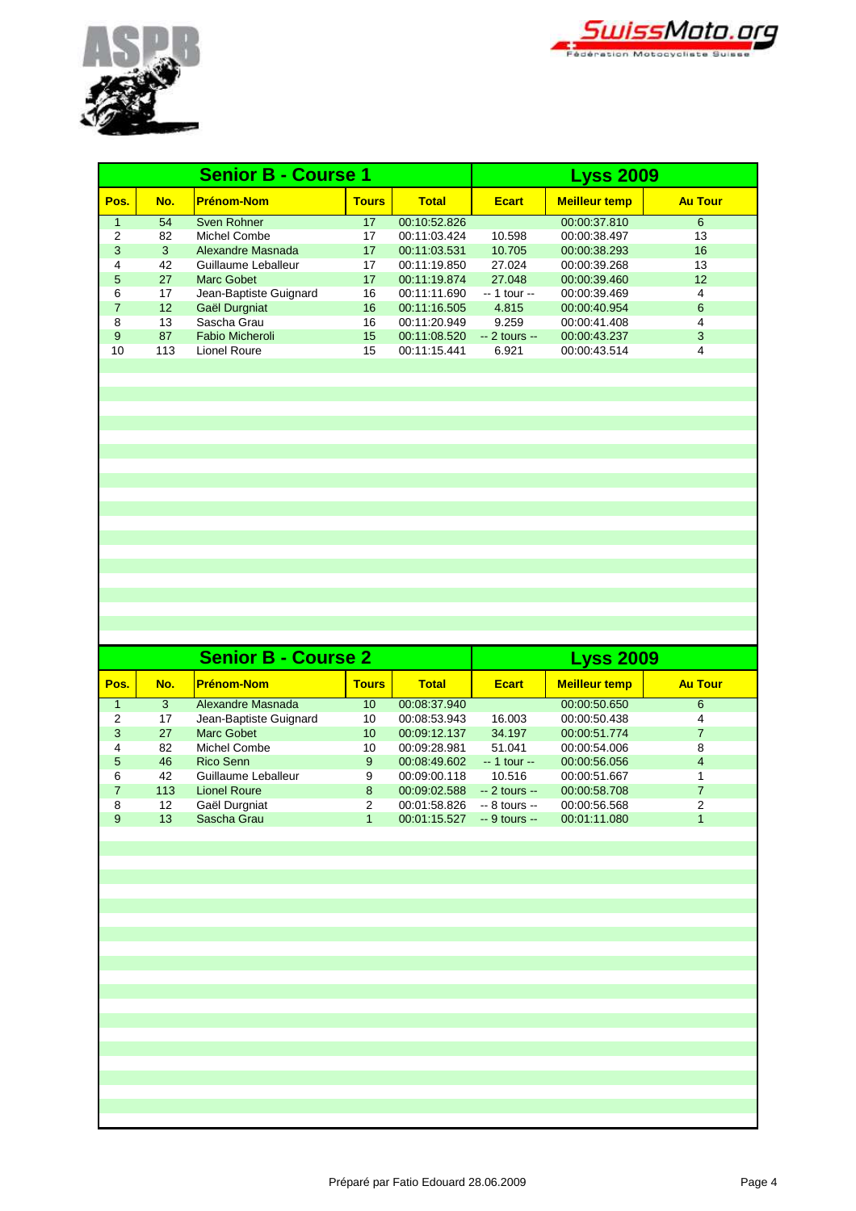



|                      |                 | <b>Senior B - Course 1</b> | <b>Lyss 2009</b> |              |                |                      |                |
|----------------------|-----------------|----------------------------|------------------|--------------|----------------|----------------------|----------------|
| Pos.                 | No.             | <b>Prénom-Nom</b>          | <b>Tours</b>     | <b>Total</b> | <b>Ecart</b>   | <b>Meilleur temp</b> | <b>Au Tour</b> |
| $\blacktriangleleft$ | 54              | Sven Rohner                | 17               | 00:10:52.826 |                | 00:00:37.810         | 6              |
| 2                    | 82              | Michel Combe               | 17               | 00:11:03.424 | 10.598         | 00:00:38.497         | 13             |
| 3                    | 3               | Alexandre Masnada          | 17               | 00:11:03.531 | 10.705         | 00:00:38.293         | 16             |
| 4                    | 42              | Guillaume Leballeur        | 17               | 00:11:19.850 | 27.024         | 00:00:39.268         | 13             |
| 5                    | 27              | Marc Gobet                 | 17               | 00:11:19.874 | 27.048         | 00:00:39.460         | 12             |
| 6                    | 17              | Jean-Baptiste Guignard     | 16               | 00:11:11.690 | $-1$ tour $-$  | 00:00:39.469         | 4              |
| $\overline{7}$       | 12 <sup>2</sup> | Gaël Durgniat              | 16               | 00:11:16.505 | 4.815          | 00:00:40.954         | 6              |
| 8                    | 13              | Sascha Grau                | 16               | 00:11:20.949 | 9.259          | 00:00:41.408         | 4              |
| 9                    | 87              | Fabio Micheroli            | 15               | 00:11:08.520 | $-2$ tours $-$ | 00:00:43.237         | 3              |
| 10                   | 113             | Lionel Roure               | 15               | 00:11:15.441 | 6.921          | 00:00:43.514         | 4              |
|                      |                 |                            |                  |              |                |                      |                |

|      |     | <b>Senior B - Course 2</b> | <b>Lyss 2009</b> |              |                |                      |                |
|------|-----|----------------------------|------------------|--------------|----------------|----------------------|----------------|
| Pos. | No. | <b>Prénom-Nom</b>          | <b>Tours</b>     | <b>Total</b> | <b>Ecart</b>   | <b>Meilleur temp</b> | <b>Au Tour</b> |
|      | 3   | Alexandre Masnada          | 10 <sup>°</sup>  | 00:08:37.940 |                | 00:00:50.650         | 6              |
| 2    | 17  | Jean-Baptiste Guignard     | 10               | 00:08:53.943 | 16.003         | 00:00:50.438         | 4              |
| 3    | 27  | Marc Gobet                 | 10 <sup>1</sup>  | 00:09:12.137 | 34.197         | 00:00:51.774         |                |
| 4    | 82  | Michel Combe               | 10               | 00:09:28.981 | 51.041         | 00:00:54.006         | 8              |
| 5    | 46  | Rico Senn                  | 9                | 00:08:49.602 | $-1$ tour $-$  | 00:00:56.056         | 4              |
| 6    | 42  | Guillaume Leballeur        | 9                | 00:09:00.118 | 10.516         | 00:00:51.667         |                |
| 7    | 113 | Lionel Roure               | 8                | 00:09:02.588 | $-2$ tours $-$ | 00:00:58.708         |                |
| 8    | 12  | Gaël Durgniat              | $\mathcal{P}$    | 00:01:58.826 | $-8$ tours $-$ | 00:00:56.568         | 2              |
| 9    | 13  | Sascha Grau                |                  | 00:01:15.527 | $-9$ tours $-$ | 00:01:11.080         |                |